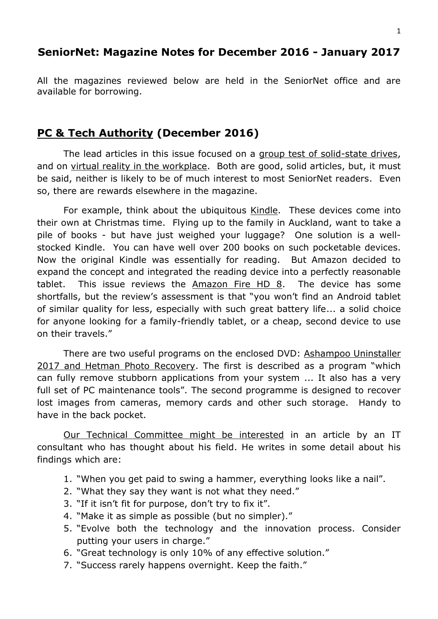## **SeniorNet: Magazine Notes for December 2016 - January 2017**

All the magazines reviewed below are held in the SeniorNet office and are available for borrowing.

## **PC & Tech Authority (December 2016)**

The lead articles in this issue focused on a group test of solid-state drives, and on virtual reality in the workplace. Both are good, solid articles, but, it must be said, neither is likely to be of much interest to most SeniorNet readers. Even so, there are rewards elsewhere in the magazine.

For example, think about the ubiquitous Kindle. These devices come into their own at Christmas time. Flying up to the family in Auckland, want to take a pile of books - but have just weighed your luggage? One solution is a wellstocked Kindle. You can have well over 200 books on such pocketable devices. Now the original Kindle was essentially for reading. But Amazon decided to expand the concept and integrated the reading device into a perfectly reasonable tablet. This issue reviews the  $A$ mazon Fire HD  $8$ . The device has some shortfalls, but the review's assessment is that "you won't find an Android tablet of similar quality for less, especially with such great battery life... a solid choice for anyone looking for a family-friendly tablet, or a cheap, second device to use on their travels."

There are two useful programs on the enclosed DVD: Ashampoo Uninstaller 2017 and Hetman Photo Recovery. The first is described as a program "which can fully remove stubborn applications from your system ... It also has a very full set of PC maintenance tools". The second programme is designed to recover lost images from cameras, memory cards and other such storage. Handy to have in the back pocket.

Our Technical Committee might be interested in an article by an IT consultant who has thought about his field. He writes in some detail about his findings which are:

- 1. "When you get paid to swing a hammer, everything looks like a nail".
- 2. "What they say they want is not what they need."
- 3. "If it isn't fit for purpose, don't try to fix it".
- 4. "Make it as simple as possible (but no simpler)."
- 5. "Evolve both the technology and the innovation process. Consider putting your users in charge."
- 6. "Great technology is only 10% of any effective solution."
- 7. "Success rarely happens overnight. Keep the faith."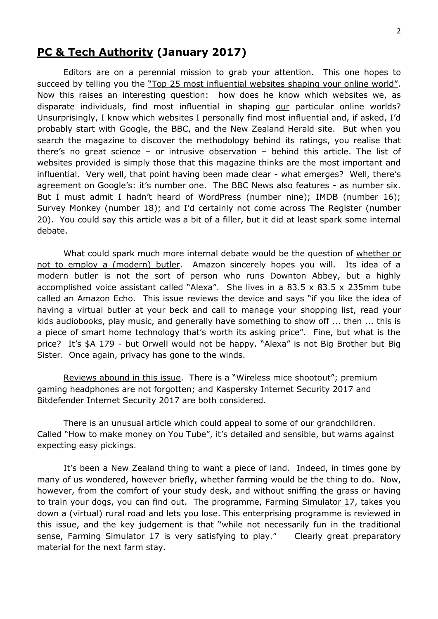## **PC & Tech Authority (January 2017)**

Editors are on a perennial mission to grab your attention. This one hopes to succeed by telling you the "Top 25 most influential websites shaping your online world". Now this raises an interesting question: how does he know which websites we, as disparate individuals, find most influential in shaping our particular online worlds? Unsurprisingly, I know which websites I personally find most influential and, if asked, I'd probably start with Google, the BBC, and the New Zealand Herald site. But when you search the magazine to discover the methodology behind its ratings, you realise that there's no great science – or intrusive observation – behind this article. The list of websites provided is simply those that this magazine thinks are the most important and influential. Very well, that point having been made clear - what emerges? Well, there's agreement on Google's: it's number one. The BBC News also features - as number six. But I must admit I hadn't heard of WordPress (number nine); IMDB (number 16); Survey Monkey (number 18); and I'd certainly not come across The Register (number 20). You could say this article was a bit of a filler, but it did at least spark some internal debate.

What could spark much more internal debate would be the question of whether or not to employ a (modern) butler. Amazon sincerely hopes you will. Its idea of a modern butler is not the sort of person who runs Downton Abbey, but a highly accomplished voice assistant called "Alexa". She lives in a 83.5 x 83.5 x 235mm tube called an Amazon Echo. This issue reviews the device and says "if you like the idea of having a virtual butler at your beck and call to manage your shopping list, read your kids audiobooks, play music, and generally have something to show off ... then ... this is a piece of smart home technology that's worth its asking price". Fine, but what is the price? It's \$A 179 - but Orwell would not be happy. "Alexa" is not Big Brother but Big Sister. Once again, privacy has gone to the winds.

Reviews abound in this issue. There is a "Wireless mice shootout"; premium gaming headphones are not forgotten; and Kaspersky Internet Security 2017 and Bitdefender Internet Security 2017 are both considered.

There is an unusual article which could appeal to some of our grandchildren. Called "How to make money on You Tube", it's detailed and sensible, but warns against expecting easy pickings.

It's been a New Zealand thing to want a piece of land. Indeed, in times gone by many of us wondered, however briefly, whether farming would be the thing to do. Now, however, from the comfort of your study desk, and without sniffing the grass or having to train your dogs, you can find out. The programme, Farming Simulator 17, takes you down a (virtual) rural road and lets you lose. This enterprising programme is reviewed in this issue, and the key judgement is that "while not necessarily fun in the traditional sense, Farming Simulator 17 is very satisfying to play." Clearly great preparatory material for the next farm stay.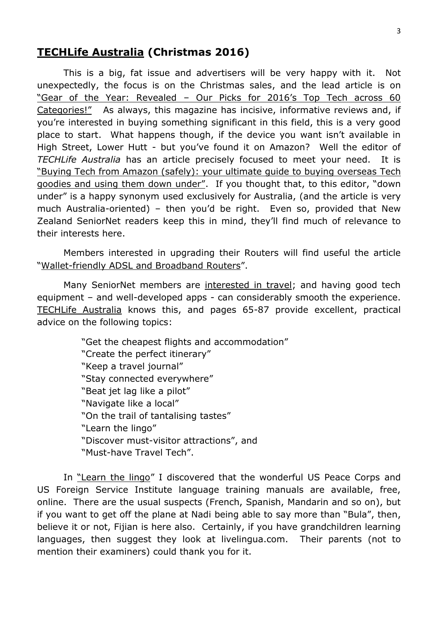## **TECHLife Australia (Christmas 2016)**

This is a big, fat issue and advertisers will be very happy with it. Not unexpectedly, the focus is on the Christmas sales, and the lead article is on "Gear of the Year: Revealed – Our Picks for 2016's Top Tech across 60 Categories!" As always, this magazine has incisive, informative reviews and, if you're interested in buying something significant in this field, this is a very good place to start. What happens though, if the device you want isn't available in High Street, Lower Hutt - but you've found it on Amazon? Well the editor of *TECHLife Australia* has an article precisely focused to meet your need. It is "Buying Tech from Amazon (safely): your ultimate guide to buying overseas Tech goodies and using them down under". If you thought that, to this editor, "down under" is a happy synonym used exclusively for Australia, (and the article is very much Australia-oriented) – then you'd be right. Even so, provided that New Zealand SeniorNet readers keep this in mind, they'll find much of relevance to their interests here.

Members interested in upgrading their Routers will find useful the article "Wallet-friendly ADSL and Broadband Routers".

Many SeniorNet members are interested in travel; and having good tech equipment – and well-developed apps - can considerably smooth the experience. TECHLife Australia knows this, and pages 65-87 provide excellent, practical advice on the following topics:

> "Get the cheapest flights and accommodation" "Create the perfect itinerary" "Keep a travel journal" "Stay connected everywhere" "Beat jet lag like a pilot" "Navigate like a local" "On the trail of tantalising tastes" "Learn the lingo" "Discover must-visitor attractions", and "Must-have Travel Tech".

In "Learn the lingo" I discovered that the wonderful US Peace Corps and US Foreign Service Institute language training manuals are available, free, online. There are the usual suspects (French, Spanish, Mandarin and so on), but if you want to get off the plane at Nadi being able to say more than "Bula", then, believe it or not, Fijian is here also. Certainly, if you have grandchildren learning languages, then suggest they look at livelingua.com. Their parents (not to mention their examiners) could thank you for it.